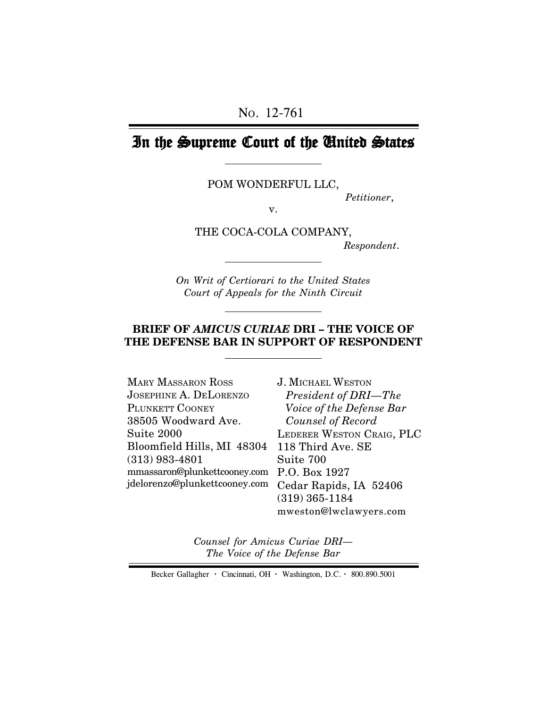# In the Supreme Court of the United States

POM WONDERFUL LLC,

*Petitioner*,

v.

THE COCA-COLA COMPANY,

 *Respondent*.

*On Writ of Certiorari to the United States Court of Appeals for the Ninth Circuit*

### **BRIEF OF** *AMICUS CURIAE* **DRI – THE VOICE OF THE DEFENSE BAR IN SUPPORT OF RESPONDENT**

| MARY MASSARON ROSS            | <b>J. MICHAEL WESTON</b>  |
|-------------------------------|---------------------------|
| JOSEPHINE A. DELORENZO        | President of DRI-The      |
| PLUNKETT COONEY               | Voice of the Defense Bar  |
| 38505 Woodward Ave.           | Counsel of Record         |
| $\mathrm{Suite\ 2000}$        | LEDERER WESTON CRAIG, PLC |
| Bloomfield Hills, MI 48304    | 118 Third Ave. SE         |
| $(313)$ 983-4801              | Suite 700                 |
| mmassaron@plunkettcooney.com  | P.O. Box 1927             |
| jdelorenzo@plunkettcooney.com | Cedar Rapids, IA 52406    |
|                               | $(319)$ 365-1184          |
|                               | mweston@lwclawyers.com    |

*Counsel for Amicus Curiae DRI— The Voice of the Defense Bar*

Becker Gallagher **·** Cincinnati, OH **·** Washington, D.C. **·** 800.890.5001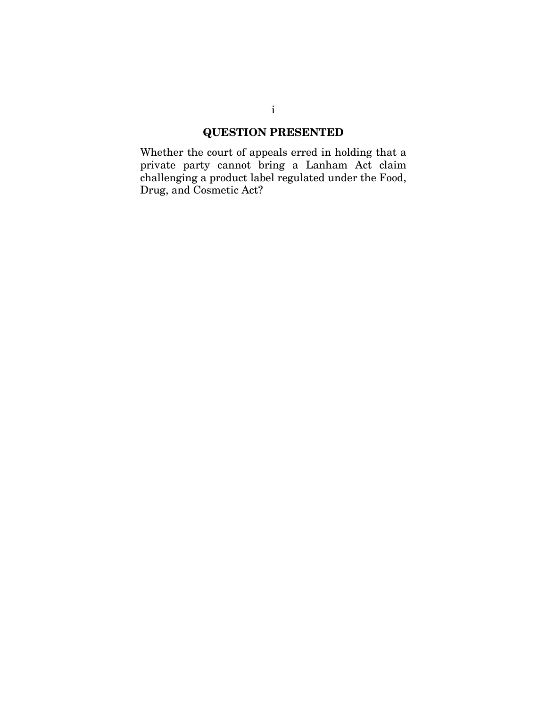### **QUESTION PRESENTED**

Whether the court of appeals erred in holding that a private party cannot bring a Lanham Act claim challenging a product label regulated under the Food, Drug, and Cosmetic Act?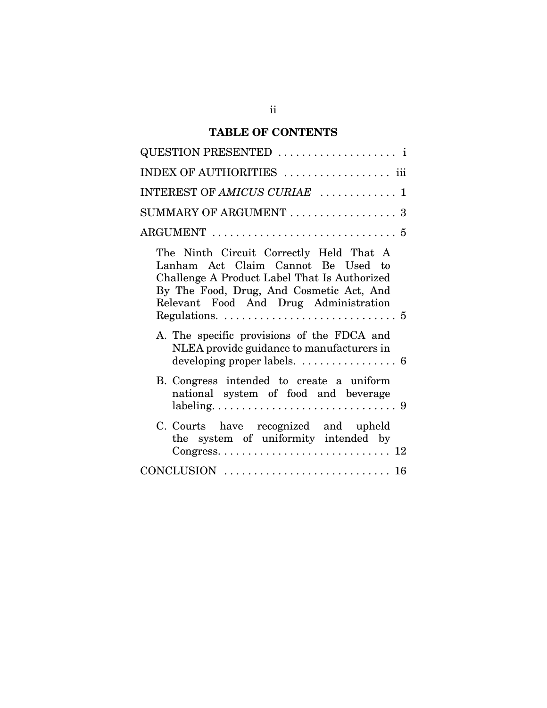# **TABLE OF CONTENTS**

| QUESTION PRESENTED                                                                                                                                                                                                                                                                             |
|------------------------------------------------------------------------------------------------------------------------------------------------------------------------------------------------------------------------------------------------------------------------------------------------|
| INDEX OF AUTHORITIES  iii                                                                                                                                                                                                                                                                      |
| INTEREST OF AMICUS CURIAE  1                                                                                                                                                                                                                                                                   |
| SUMMARY OF ARGUMENT  3                                                                                                                                                                                                                                                                         |
| $\text{ARGUMENT} \ \dots \dots \dots \dots \dots \dots \dots \dots \dots \dots \dots \ 5$                                                                                                                                                                                                      |
| The Ninth Circuit Correctly Held That A<br>Lanham Act Claim Cannot Be Used to<br>Challenge A Product Label That Is Authorized<br>By The Food, Drug, And Cosmetic Act, And<br>Relevant Food And Drug Administration<br>Regulations. $\ldots \ldots \ldots \ldots \ldots \ldots \ldots \ldots 5$ |
| A. The specific provisions of the FDCA and<br>NLEA provide guidance to manufacturers in                                                                                                                                                                                                        |
| B. Congress intended to create a uniform<br>national system of food and beverage                                                                                                                                                                                                               |
| C. Courts have recognized and upheld<br>the system of uniformity intended by                                                                                                                                                                                                                   |
|                                                                                                                                                                                                                                                                                                |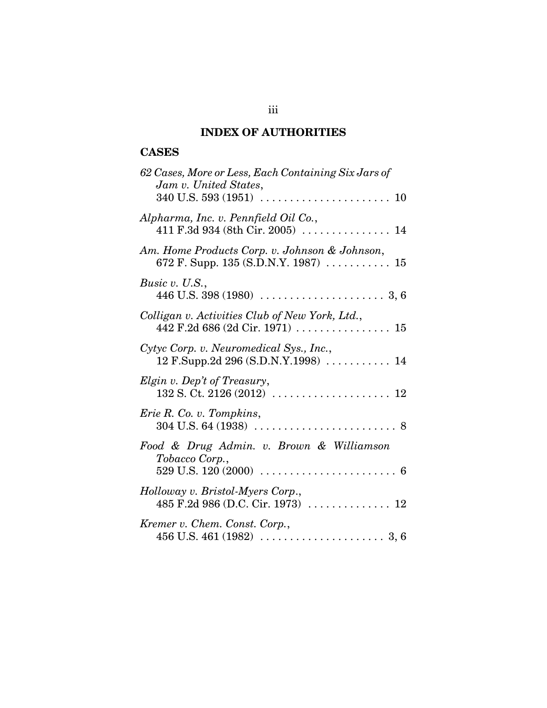# **INDEX OF AUTHORITIES**

### **CASES**

| 62 Cases, More or Less, Each Containing Six Jars of<br>Jam v. United States,                                          |
|-----------------------------------------------------------------------------------------------------------------------|
| Alpharma, Inc. v. Pennfield Oil Co.,<br>411 F.3d 934 (8th Cir. 2005)  14                                              |
| Am. Home Products Corp. v. Johnson & Johnson,                                                                         |
| Busic v. U.S.,                                                                                                        |
| Colligan v. Activities Club of New York, Ltd.,<br>442 F.2d 686 (2d Cir. 1971) $\ldots \ldots \ldots \ldots \ldots 15$ |
| Cytyc Corp. v. Neuromedical Sys., Inc.,<br>$12$ F.Supp.2d 296 (S.D.N.Y.1998)  14                                      |
| Elgin v. Dep't of Treasury,                                                                                           |
| Erie R. Co. v. Tompkins,                                                                                              |
| Food & Drug Admin. v. Brown & Williamson<br>Tobacco Corp.,                                                            |
| Holloway v. Bristol-Myers Corp.,                                                                                      |
| Kremer v. Chem. Const. Corp.,                                                                                         |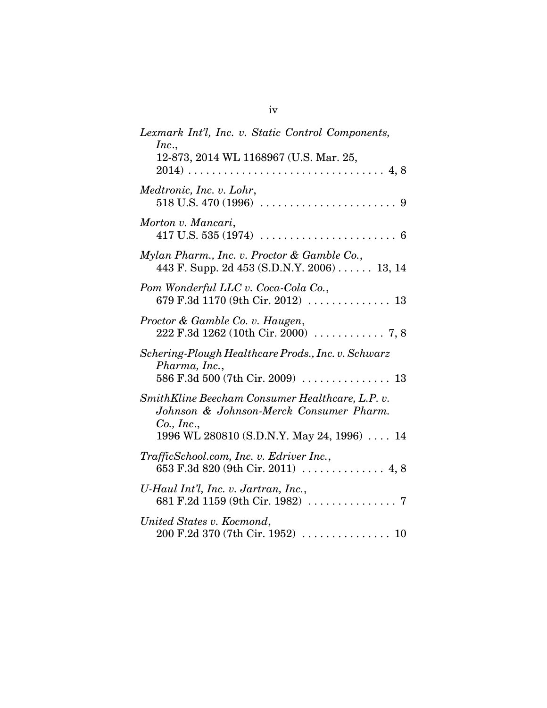| Lexmark Int'l, Inc. v. Static Control Components,<br>Inc.,<br>12-873, 2014 WL 1168967 (U.S. Mar. 25,                         |
|------------------------------------------------------------------------------------------------------------------------------|
| Medtronic, Inc. v. Lohr,                                                                                                     |
| Morton v. Mancari,<br>417 U.S. 535 (1974) $\ldots \ldots \ldots \ldots \ldots \ldots \ldots \ldots$                          |
| Mylan Pharm., Inc. v. Proctor & Gamble Co.,<br>443 F. Supp. 2d 453 (S.D.N.Y. 2006) 13, 14                                    |
| Pom Wonderful LLC v. Coca-Cola Co.,<br>679 F.3d 1170 (9th Cir. 2012)  13                                                     |
| Proctor & Gamble Co. v. Haugen,                                                                                              |
| Schering-Plough Healthcare Prods., Inc. v. Schwarz<br>Pharma, Inc.,<br>586 F.3d 500 (7th Cir. 2009)  13                      |
| SmithKline Beecham Consumer Healthcare, L.P. v.<br>Johnson & Johnson-Merck Consumer Pharm.<br>Co., Inc.,                     |
| 1996 WL 280810 (S.D.N.Y. May 24, 1996)  14<br>TrafficSchool.com, Inc. v. Edriver Inc.,<br>653 F.3d 820 (9th Cir. 2011)  4, 8 |
| U-Haul Int'l, Inc. v. Jartran, Inc.,                                                                                         |
| United States v. Kocmond,<br>$200$ F.2d 370 (7th Cir. 1952) $\,\ldots\ldots\ldots\ldots\ldots\,10$                           |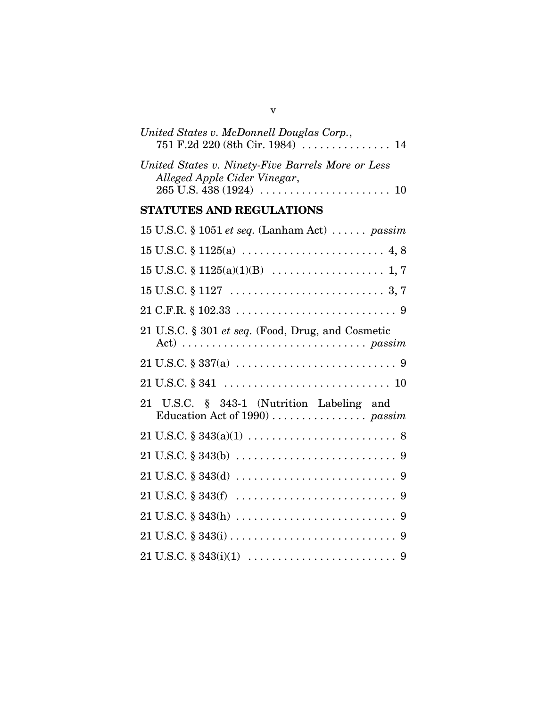| United States v. McDonnell Douglas Corp.,                                                                                             |
|---------------------------------------------------------------------------------------------------------------------------------------|
| United States v. Ninety-Five Barrels More or Less<br>Alleged Apple Cider Vinegar,                                                     |
| <b>STATUTES AND REGULATIONS</b>                                                                                                       |
| 15 U.S.C. § 1051 et seq. (Lanham Act) $\dots \dots$ passim                                                                            |
|                                                                                                                                       |
|                                                                                                                                       |
|                                                                                                                                       |
|                                                                                                                                       |
| 21 U.S.C. § 301 et seq. (Food, Drug, and Cosmetic<br>Act) $\dots \dots \dots \dots \dots \dots \dots \dots \dots \dots \text{passim}$ |
|                                                                                                                                       |
|                                                                                                                                       |
| 21 U.S.C. § 343-1 (Nutrition Labeling and                                                                                             |
|                                                                                                                                       |
|                                                                                                                                       |
|                                                                                                                                       |
|                                                                                                                                       |
|                                                                                                                                       |
|                                                                                                                                       |
|                                                                                                                                       |

v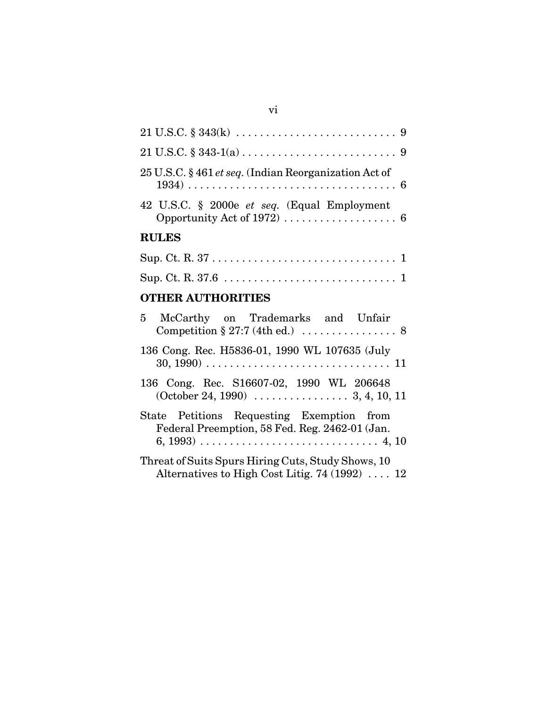| <b>RULES</b>                                                                                                          |
|-----------------------------------------------------------------------------------------------------------------------|
| 42 U.S.C. § 2000e et seq. (Equal Employment<br>Opportunity Act of 1972) $\ldots \ldots \ldots \ldots \ldots \ldots$ 6 |
| 25 U.S.C. § 461 et seq. (Indian Reorganization Act of                                                                 |
|                                                                                                                       |
|                                                                                                                       |

| Sup. Ct. R. $37$ |  |  |  |  |  |  |  |  |  |  |  |  |  |
|------------------|--|--|--|--|--|--|--|--|--|--|--|--|--|
|                  |  |  |  |  |  |  |  |  |  |  |  |  |  |

# **OTHER AUTHORITIES**

| 5 McCarthy on Trademarks and Unfair                                                                          |  |
|--------------------------------------------------------------------------------------------------------------|--|
| 136 Cong. Rec. H5836-01, 1990 WL 107635 (July                                                                |  |
| 136 Cong. Rec. S16607-02, 1990 WL 206648<br>$(October 24, 1990) \dots 3, 4, 10, 11$                          |  |
| State Petitions Requesting Exemption from<br>Federal Preemption, 58 Fed. Reg. 2462-01 (Jan.                  |  |
| Threat of Suits Spurs Hiring Cuts, Study Shows, 10<br>Alternatives to High Cost Litig. 74 (1992) $\ldots$ 12 |  |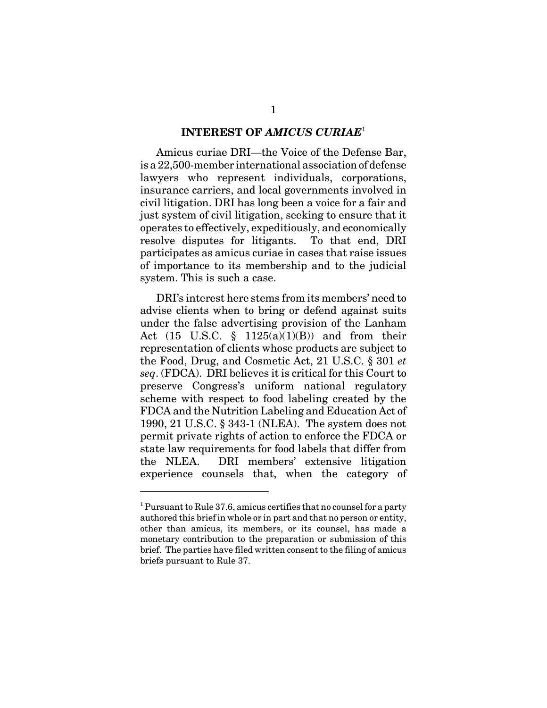#### **INTEREST OF** *AMICUS CURIAE*<sup>1</sup>

Amicus curiae DRI—the Voice of the Defense Bar, is a 22,500-member international association of defense lawyers who represent individuals, corporations, insurance carriers, and local governments involved in civil litigation. DRI has long been a voice for a fair and just system of civil litigation, seeking to ensure that it operates to effectively, expeditiously, and economically resolve disputes for litigants. To that end, DRI participates as amicus curiae in cases that raise issues of importance to its membership and to the judicial system. This is such a case.

DRI's interest here stems from its members' need to advise clients when to bring or defend against suits under the false advertising provision of the Lanham Act  $(15 \text{ U.S.C. } § 1125(a)(1)(B))$  and from their representation of clients whose products are subject to the Food, Drug, and Cosmetic Act, 21 U.S.C. § 301 *et seq*. (FDCA). DRI believes it is critical for this Court to preserve Congress's uniform national regulatory scheme with respect to food labeling created by the FDCA and the Nutrition Labeling and Education Act of 1990, 21 U.S.C. § 343-1 (NLEA). The system does not permit private rights of action to enforce the FDCA or state law requirements for food labels that differ from the NLEA. DRI members' extensive litigation experience counsels that, when the category of

<sup>&</sup>lt;sup>1</sup> Pursuant to Rule 37.6, amicus certifies that no counsel for a party authored this brief in whole or in part and that no person or entity, other than amicus, its members, or its counsel, has made a monetary contribution to the preparation or submission of this brief. The parties have filed written consent to the filing of amicus briefs pursuant to Rule 37.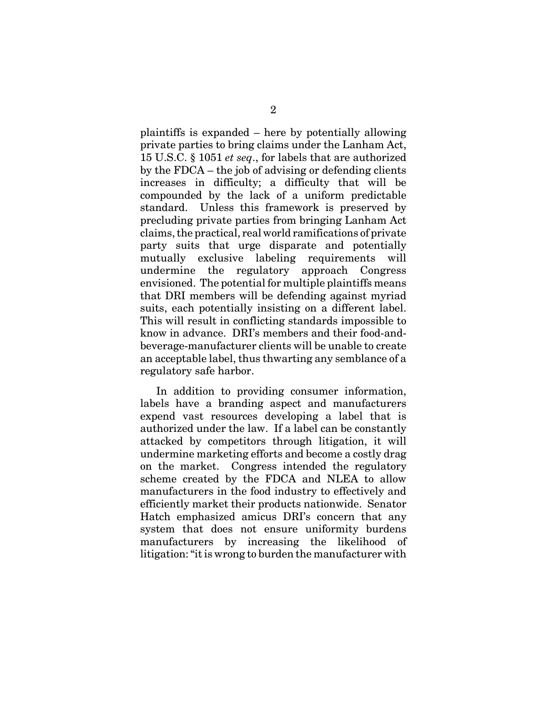plaintiffs is expanded – here by potentially allowing private parties to bring claims under the Lanham Act, 15 U.S.C. § 1051 *et seq*., for labels that are authorized by the FDCA – the job of advising or defending clients increases in difficulty; a difficulty that will be compounded by the lack of a uniform predictable standard. Unless this framework is preserved by precluding private parties from bringing Lanham Act claims, the practical, real world ramifications of private party suits that urge disparate and potentially mutually exclusive labeling requirements will undermine the regulatory approach Congress envisioned. The potential for multiple plaintiffs means that DRI members will be defending against myriad suits, each potentially insisting on a different label. This will result in conflicting standards impossible to know in advance. DRI's members and their food-andbeverage-manufacturer clients will be unable to create an acceptable label, thus thwarting any semblance of a regulatory safe harbor.

In addition to providing consumer information, labels have a branding aspect and manufacturers expend vast resources developing a label that is authorized under the law. If a label can be constantly attacked by competitors through litigation, it will undermine marketing efforts and become a costly drag on the market. Congress intended the regulatory scheme created by the FDCA and NLEA to allow manufacturers in the food industry to effectively and efficiently market their products nationwide. Senator Hatch emphasized amicus DRI's concern that any system that does not ensure uniformity burdens manufacturers by increasing the likelihood of litigation: "it is wrong to burden the manufacturer with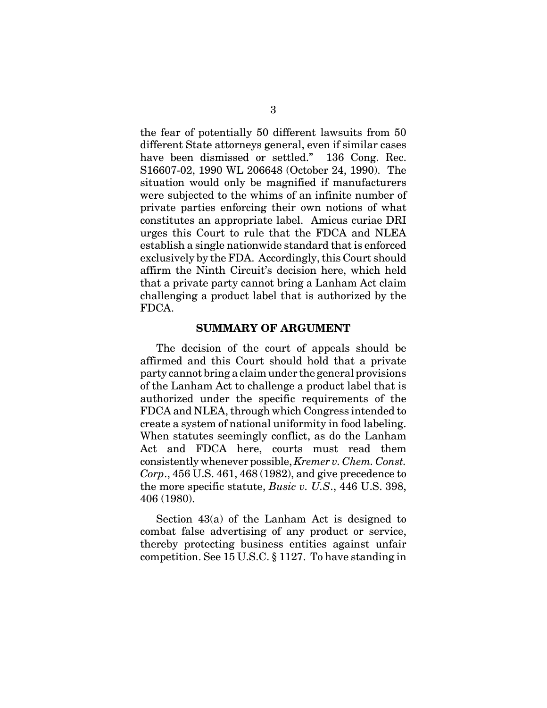the fear of potentially 50 different lawsuits from 50 different State attorneys general, even if similar cases have been dismissed or settled." 136 Cong. Rec. S16607-02, 1990 WL 206648 (October 24, 1990). The situation would only be magnified if manufacturers were subjected to the whims of an infinite number of private parties enforcing their own notions of what constitutes an appropriate label. Amicus curiae DRI urges this Court to rule that the FDCA and NLEA establish a single nationwide standard that is enforced exclusively by the FDA. Accordingly, this Court should affirm the Ninth Circuit's decision here, which held that a private party cannot bring a Lanham Act claim challenging a product label that is authorized by the FDCA.

#### **SUMMARY OF ARGUMENT**

The decision of the court of appeals should be affirmed and this Court should hold that a private party cannot bring a claim under the general provisions of the Lanham Act to challenge a product label that is authorized under the specific requirements of the FDCA and NLEA, through which Congress intended to create a system of national uniformity in food labeling. When statutes seemingly conflict, as do the Lanham Act and FDCA here, courts must read them consistently whenever possible, *Kremer v. Chem. Const. Corp*., 456 U.S. 461, 468 (1982), and give precedence to the more specific statute, *Busic v. U.S*., 446 U.S. 398, 406 (1980).

Section 43(a) of the Lanham Act is designed to combat false advertising of any product or service, thereby protecting business entities against unfair competition. See 15 U.S.C. § 1127. To have standing in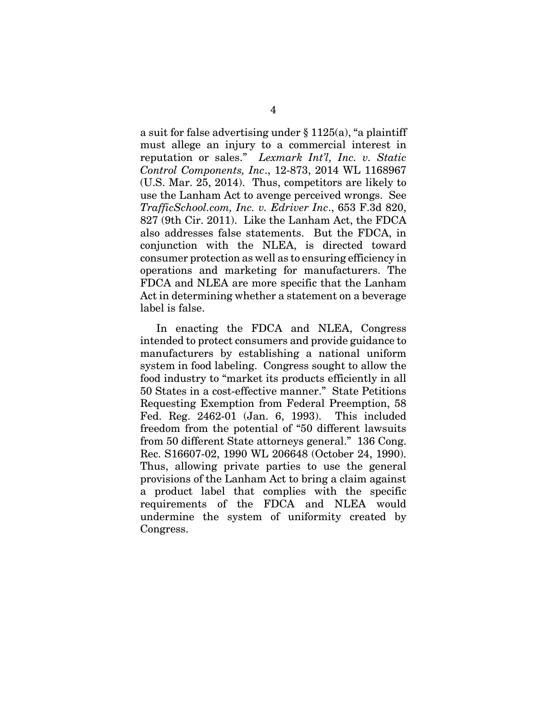a suit for false advertising under § 1125(a), "a plaintiff must allege an injury to a commercial interest in reputation or sales." *Lexmark Int'l, Inc. v. Static Control Components, Inc*., 12-873, 2014 WL 1168967 (U.S. Mar. 25, 2014). Thus, competitors are likely to use the Lanham Act to avenge perceived wrongs. See *TrafficSchool.com, Inc. v. Edriver Inc*., 653 F.3d 820, 827 (9th Cir. 2011). Like the Lanham Act, the FDCA also addresses false statements. But the FDCA, in conjunction with the NLEA, is directed toward consumer protection as well as to ensuring efficiency in operations and marketing for manufacturers. The FDCA and NLEA are more specific that the Lanham Act in determining whether a statement on a beverage label is false.

In enacting the FDCA and NLEA, Congress intended to protect consumers and provide guidance to manufacturers by establishing a national uniform system in food labeling. Congress sought to allow the food industry to "market its products efficiently in all 50 States in a cost-effective manner." State Petitions Requesting Exemption from Federal Preemption, 58 Fed. Reg. 2462-01 (Jan. 6, 1993). This included freedom from the potential of "50 different lawsuits from 50 different State attorneys general." 136 Cong. Rec. S16607-02, 1990 WL 206648 (October 24, 1990). Thus, allowing private parties to use the general provisions of the Lanham Act to bring a claim against a product label that complies with the specific requirements of the FDCA and NLEA would undermine the system of uniformity created by Congress.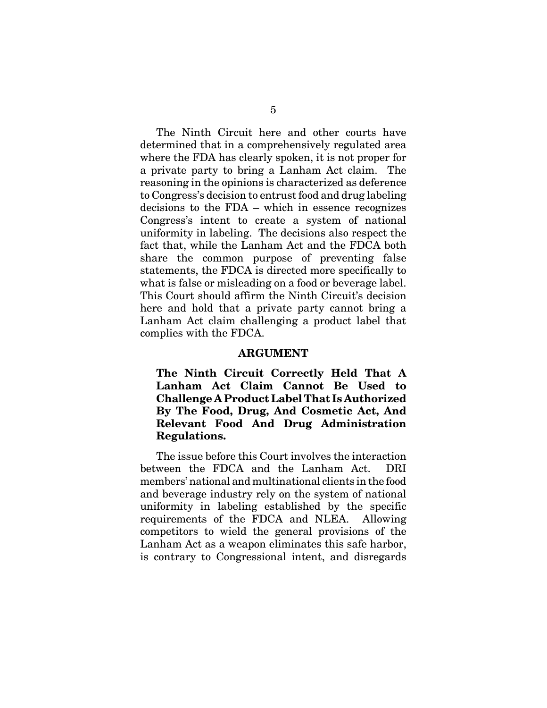The Ninth Circuit here and other courts have determined that in a comprehensively regulated area where the FDA has clearly spoken, it is not proper for a private party to bring a Lanham Act claim. The reasoning in the opinions is characterized as deference to Congress's decision to entrust food and drug labeling decisions to the FDA – which in essence recognizes Congress's intent to create a system of national uniformity in labeling. The decisions also respect the fact that, while the Lanham Act and the FDCA both share the common purpose of preventing false statements, the FDCA is directed more specifically to what is false or misleading on a food or beverage label. This Court should affirm the Ninth Circuit's decision here and hold that a private party cannot bring a Lanham Act claim challenging a product label that complies with the FDCA.

#### **ARGUMENT**

**The Ninth Circuit Correctly Held That A Lanham Act Claim Cannot Be Used to Challenge A Product Label That Is Authorized By The Food, Drug, And Cosmetic Act, And Relevant Food And Drug Administration Regulations.** 

The issue before this Court involves the interaction between the FDCA and the Lanham Act. DRI members' national and multinational clients in the food and beverage industry rely on the system of national uniformity in labeling established by the specific requirements of the FDCA and NLEA. Allowing competitors to wield the general provisions of the Lanham Act as a weapon eliminates this safe harbor, is contrary to Congressional intent, and disregards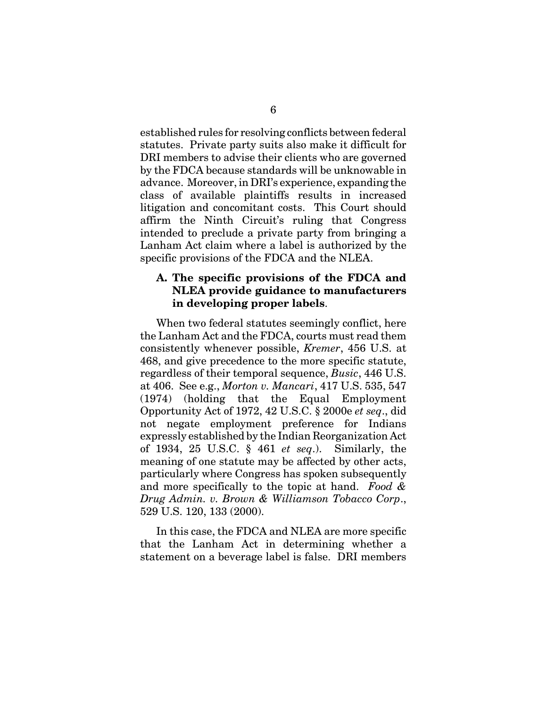established rules for resolving conflicts between federal statutes. Private party suits also make it difficult for DRI members to advise their clients who are governed by the FDCA because standards will be unknowable in advance. Moreover, in DRI's experience, expanding the class of available plaintiffs results in increased litigation and concomitant costs. This Court should affirm the Ninth Circuit's ruling that Congress intended to preclude a private party from bringing a Lanham Act claim where a label is authorized by the specific provisions of the FDCA and the NLEA.

#### **A. The specific provisions of the FDCA and NLEA provide guidance to manufacturers in developing proper labels**.

When two federal statutes seemingly conflict, here the Lanham Act and the FDCA, courts must read them consistently whenever possible, *Kremer*, 456 U.S. at 468, and give precedence to the more specific statute, regardless of their temporal sequence, *Busic*, 446 U.S. at 406. See e.g., *Morton v. Mancari*, 417 U.S. 535, 547 (1974) (holding that the Equal Employment Opportunity Act of 1972, 42 U.S.C. § 2000e *et seq*., did not negate employment preference for Indians expressly established by the Indian Reorganization Act of 1934, 25 U.S.C. § 461 *et seq*.). Similarly, the meaning of one statute may be affected by other acts, particularly where Congress has spoken subsequently and more specifically to the topic at hand. *Food & Drug Admin. v. Brown & Williamson Tobacco Corp*., 529 U.S. 120, 133 (2000).

In this case, the FDCA and NLEA are more specific that the Lanham Act in determining whether a statement on a beverage label is false. DRI members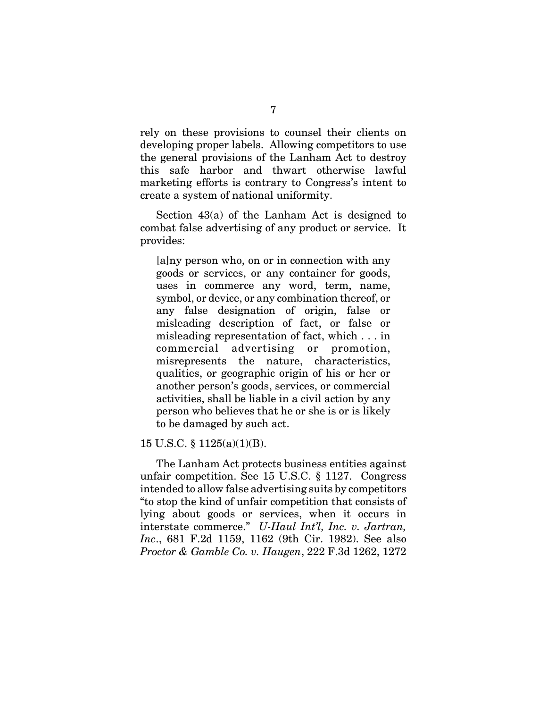rely on these provisions to counsel their clients on developing proper labels. Allowing competitors to use the general provisions of the Lanham Act to destroy this safe harbor and thwart otherwise lawful marketing efforts is contrary to Congress's intent to create a system of national uniformity.

Section 43(a) of the Lanham Act is designed to combat false advertising of any product or service. It provides:

[a]ny person who, on or in connection with any goods or services, or any container for goods, uses in commerce any word, term, name, symbol, or device, or any combination thereof, or any false designation of origin, false or misleading description of fact, or false or misleading representation of fact, which . . . in commercial advertising or promotion, misrepresents the nature, characteristics, qualities, or geographic origin of his or her or another person's goods, services, or commercial activities, shall be liable in a civil action by any person who believes that he or she is or is likely to be damaged by such act.

15 U.S.C. § 1125(a)(1)(B).

The Lanham Act protects business entities against unfair competition. See 15 U.S.C. § 1127. Congress intended to allow false advertising suits by competitors "to stop the kind of unfair competition that consists of lying about goods or services, when it occurs in interstate commerce." *U-Haul Int'l, Inc. v. Jartran, Inc*., 681 F.2d 1159, 1162 (9th Cir. 1982). See also *Proctor & Gamble Co. v. Haugen*, 222 F.3d 1262, 1272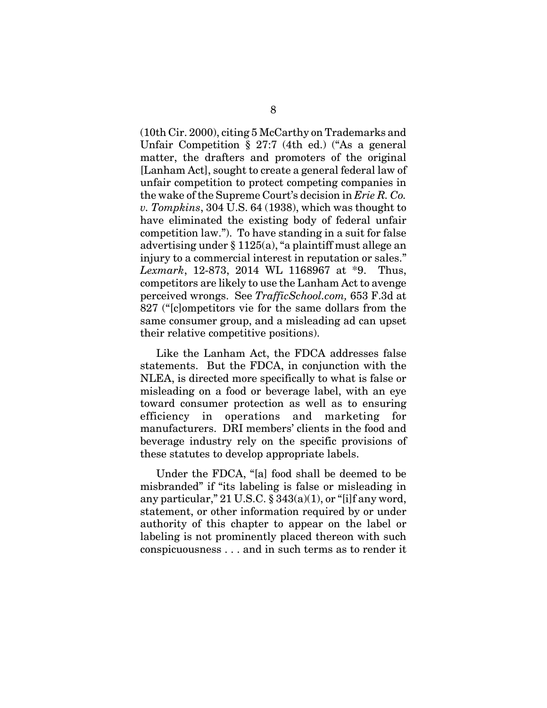(10th Cir. 2000), citing 5 McCarthy on Trademarks and Unfair Competition § 27:7 (4th ed.) ("As a general matter, the drafters and promoters of the original [Lanham Act], sought to create a general federal law of unfair competition to protect competing companies in the wake of the Supreme Court's decision in *Erie R. Co. v. Tompkins*, 304 U.S. 64 (1938), which was thought to have eliminated the existing body of federal unfair competition law."). To have standing in a suit for false advertising under § 1125(a), "a plaintiff must allege an injury to a commercial interest in reputation or sales." *Lexmark*, 12-873, 2014 WL 1168967 at \*9. Thus, competitors are likely to use the Lanham Act to avenge perceived wrongs. See *TrafficSchool.com,* 653 F.3d at 827 ("[c]ompetitors vie for the same dollars from the same consumer group, and a misleading ad can upset their relative competitive positions).

Like the Lanham Act, the FDCA addresses false statements. But the FDCA, in conjunction with the NLEA, is directed more specifically to what is false or misleading on a food or beverage label, with an eye toward consumer protection as well as to ensuring efficiency in operations and marketing for manufacturers. DRI members' clients in the food and beverage industry rely on the specific provisions of these statutes to develop appropriate labels.

Under the FDCA, "[a] food shall be deemed to be misbranded" if "its labeling is false or misleading in any particular," 21 U.S.C.  $\S 343(a)(1)$ , or "[i]f any word, statement, or other information required by or under authority of this chapter to appear on the label or labeling is not prominently placed thereon with such conspicuousness . . . and in such terms as to render it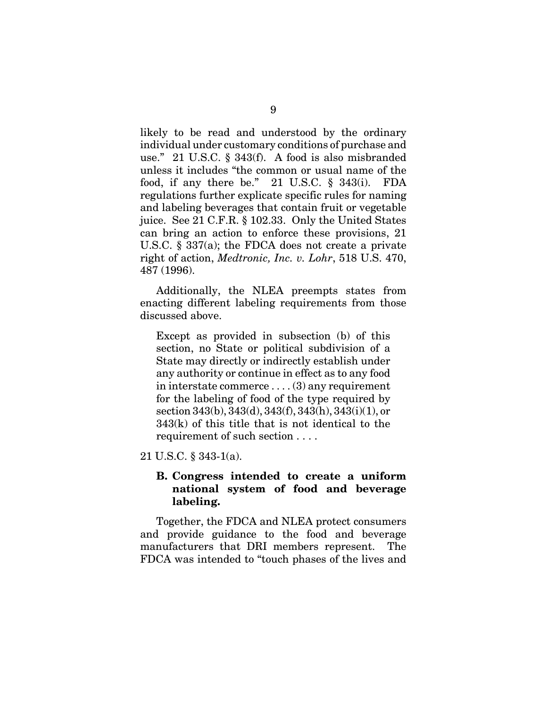likely to be read and understood by the ordinary individual under customary conditions of purchase and use." 21 U.S.C. § 343(f). A food is also misbranded unless it includes "the common or usual name of the food, if any there be." 21 U.S.C. § 343(i). FDA regulations further explicate specific rules for naming and labeling beverages that contain fruit or vegetable juice. See 21 C.F.R. § 102.33. Only the United States can bring an action to enforce these provisions, 21 U.S.C. § 337(a); the FDCA does not create a private right of action, *Medtronic, Inc. v. Lohr*, 518 U.S. 470, 487 (1996).

Additionally, the NLEA preempts states from enacting different labeling requirements from those discussed above.

Except as provided in subsection (b) of this section, no State or political subdivision of a State may directly or indirectly establish under any authority or continue in effect as to any food in interstate commerce . . . . (3) any requirement for the labeling of food of the type required by section 343(b), 343(d), 343(f), 343(h), 343(i)(1), or 343(k) of this title that is not identical to the requirement of such section . . . .

21 U.S.C. § 343-1(a).

#### **B. Congress intended to create a uniform national system of food and beverage labeling.**

Together, the FDCA and NLEA protect consumers and provide guidance to the food and beverage manufacturers that DRI members represent. The FDCA was intended to "touch phases of the lives and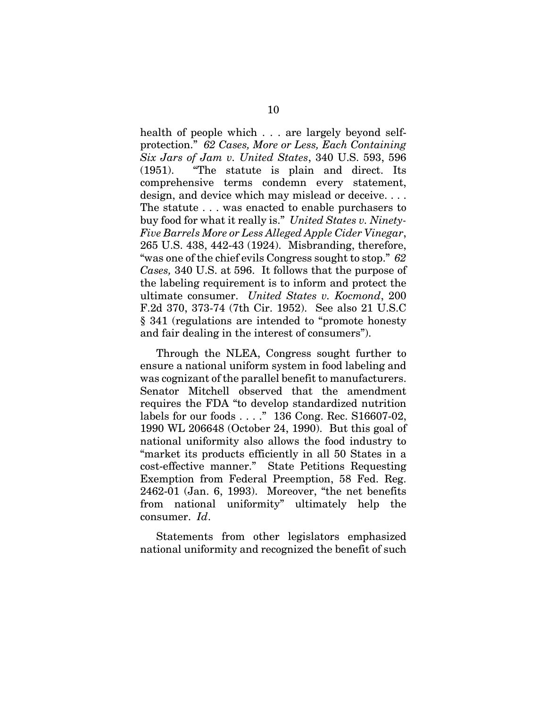health of people which . . . are largely beyond selfprotection." *62 Cases, More or Less, Each Containing Six Jars of Jam v. United States*, 340 U.S. 593, 596 (1951). "The statute is plain and direct. Its comprehensive terms condemn every statement, design, and device which may mislead or deceive. . . . The statute . . . was enacted to enable purchasers to buy food for what it really is." *United States v. Ninety-Five Barrels More or Less Alleged Apple Cider Vinegar*, 265 U.S. 438, 442-43 (1924). Misbranding, therefore, "was one of the chief evils Congress sought to stop." *62 Cases,* 340 U.S. at 596. It follows that the purpose of the labeling requirement is to inform and protect the ultimate consumer. *United States v. Kocmond*, 200 F.2d 370, 373-74 (7th Cir. 1952). See also 21 U.S.C § 341 (regulations are intended to "promote honesty and fair dealing in the interest of consumers").

Through the NLEA, Congress sought further to ensure a national uniform system in food labeling and was cognizant of the parallel benefit to manufacturers. Senator Mitchell observed that the amendment requires the FDA "to develop standardized nutrition labels for our foods . . . ." 136 Cong. Rec. S16607-02, 1990 WL 206648 (October 24, 1990). But this goal of national uniformity also allows the food industry to "market its products efficiently in all 50 States in a cost-effective manner." State Petitions Requesting Exemption from Federal Preemption, 58 Fed. Reg. 2462-01 (Jan. 6, 1993). Moreover, "the net benefits from national uniformity" ultimately help the consumer. *Id*.

Statements from other legislators emphasized national uniformity and recognized the benefit of such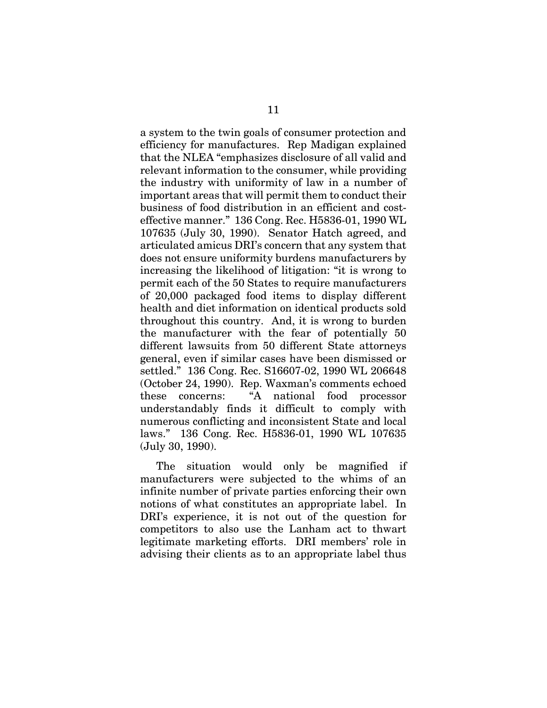a system to the twin goals of consumer protection and efficiency for manufactures. Rep Madigan explained that the NLEA "emphasizes disclosure of all valid and relevant information to the consumer, while providing the industry with uniformity of law in a number of important areas that will permit them to conduct their business of food distribution in an efficient and costeffective manner." 136 Cong. Rec. H5836-01, 1990 WL 107635 (July 30, 1990). Senator Hatch agreed, and articulated amicus DRI's concern that any system that does not ensure uniformity burdens manufacturers by increasing the likelihood of litigation: "it is wrong to permit each of the 50 States to require manufacturers of 20,000 packaged food items to display different health and diet information on identical products sold throughout this country. And, it is wrong to burden the manufacturer with the fear of potentially 50 different lawsuits from 50 different State attorneys general, even if similar cases have been dismissed or settled." 136 Cong. Rec. S16607-02, 1990 WL 206648 (October 24, 1990). Rep. Waxman's comments echoed these concerns: "A national food processor understandably finds it difficult to comply with numerous conflicting and inconsistent State and local laws." 136 Cong. Rec. H5836-01, 1990 WL 107635 (July 30, 1990).

The situation would only be magnified if manufacturers were subjected to the whims of an infinite number of private parties enforcing their own notions of what constitutes an appropriate label. In DRI's experience, it is not out of the question for competitors to also use the Lanham act to thwart legitimate marketing efforts. DRI members' role in advising their clients as to an appropriate label thus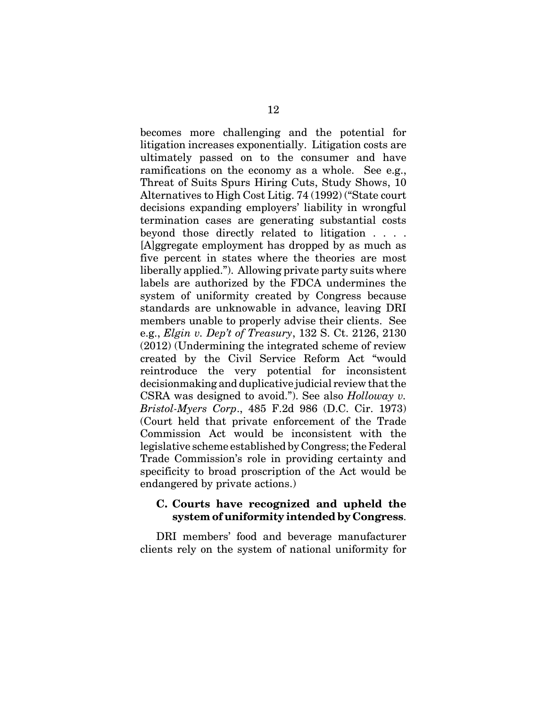becomes more challenging and the potential for litigation increases exponentially. Litigation costs are ultimately passed on to the consumer and have ramifications on the economy as a whole. See e.g., Threat of Suits Spurs Hiring Cuts, Study Shows, 10 Alternatives to High Cost Litig. 74 (1992) ("State court decisions expanding employers' liability in wrongful termination cases are generating substantial costs beyond those directly related to litigation . . . . [A]ggregate employment has dropped by as much as five percent in states where the theories are most liberally applied."). Allowing private party suits where labels are authorized by the FDCA undermines the system of uniformity created by Congress because standards are unknowable in advance, leaving DRI members unable to properly advise their clients. See e.g., *Elgin v. Dep't of Treasury*, 132 S. Ct. 2126, 2130 (2012) (Undermining the integrated scheme of review created by the Civil Service Reform Act "would reintroduce the very potential for inconsistent decisionmaking and duplicative judicial review that the CSRA was designed to avoid."). See also *Holloway v. Bristol-Myers Corp*., 485 F.2d 986 (D.C. Cir. 1973) (Court held that private enforcement of the Trade Commission Act would be inconsistent with the legislative scheme established by Congress; the Federal Trade Commission's role in providing certainty and specificity to broad proscription of the Act would be endangered by private actions.)

#### **C. Courts have recognized and upheld the system of uniformity intended by Congress**.

DRI members' food and beverage manufacturer clients rely on the system of national uniformity for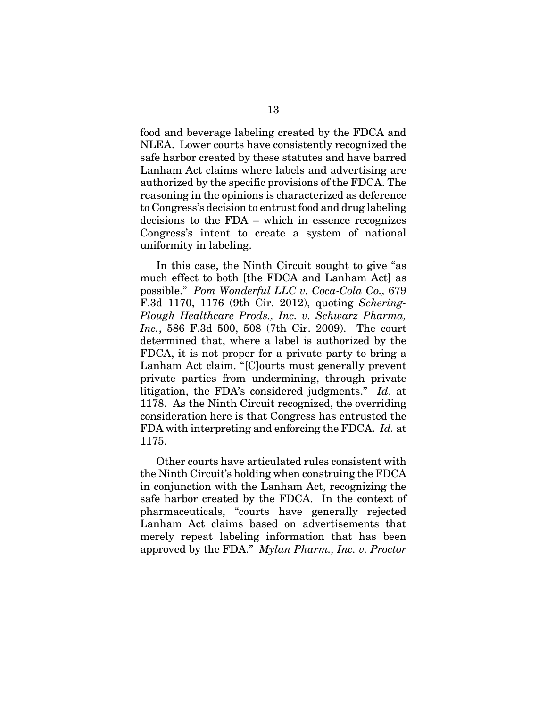food and beverage labeling created by the FDCA and NLEA. Lower courts have consistently recognized the safe harbor created by these statutes and have barred Lanham Act claims where labels and advertising are authorized by the specific provisions of the FDCA. The reasoning in the opinions is characterized as deference to Congress's decision to entrust food and drug labeling decisions to the FDA – which in essence recognizes Congress's intent to create a system of national uniformity in labeling.

In this case, the Ninth Circuit sought to give "as much effect to both [the FDCA and Lanham Act] as possible." *Pom Wonderful LLC v. Coca-Cola Co.,* 679 F.3d 1170, 1176 (9th Cir. 2012), quoting *Schering-Plough Healthcare Prods., Inc. v. Schwarz Pharma, Inc.*, 586 F.3d 500, 508 (7th Cir. 2009). The court determined that, where a label is authorized by the FDCA, it is not proper for a private party to bring a Lanham Act claim. "[C]ourts must generally prevent private parties from undermining, through private litigation, the FDA's considered judgments." *Id*. at 1178. As the Ninth Circuit recognized, the overriding consideration here is that Congress has entrusted the FDA with interpreting and enforcing the FDCA. *Id.* at 1175.

Other courts have articulated rules consistent with the Ninth Circuit's holding when construing the FDCA in conjunction with the Lanham Act, recognizing the safe harbor created by the FDCA. In the context of pharmaceuticals, "courts have generally rejected Lanham Act claims based on advertisements that merely repeat labeling information that has been approved by the FDA." *Mylan Pharm., Inc. v. Proctor*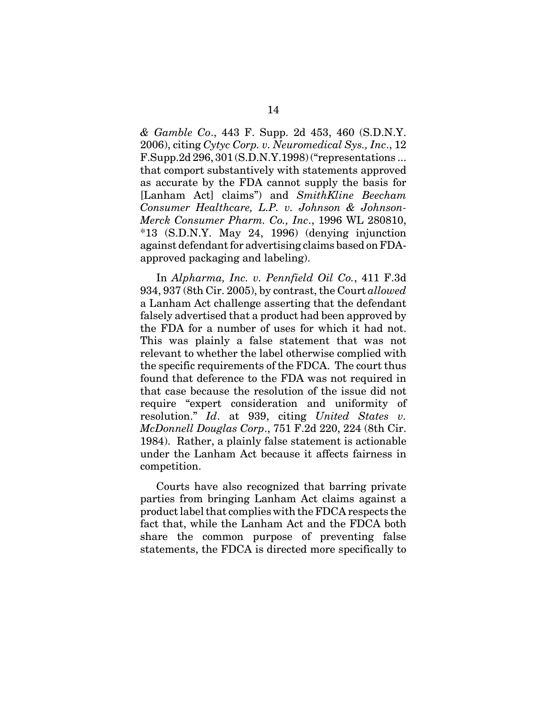*& Gamble Co*., 443 F. Supp. 2d 453, 460 (S.D.N.Y. 2006), citing *Cytyc Corp. v. Neuromedical Sys., Inc*., 12 F.Supp.2d 296, 301 (S.D.N.Y.1998) ("representations ... that comport substantively with statements approved as accurate by the FDA cannot supply the basis for [Lanham Act] claims") and *SmithKline Beecham Consumer Healthcare, L.P. v. Johnson & Johnson-Merck Consumer Pharm. Co., Inc*., 1996 WL 280810, \*13 (S.D.N.Y. May 24, 1996) (denying injunction against defendant for advertising claims based on FDAapproved packaging and labeling).

In *Alpharma, Inc. v. Pennfield Oil Co.*, 411 F.3d 934, 937 (8th Cir. 2005), by contrast, the Court *allowed* a Lanham Act challenge asserting that the defendant falsely advertised that a product had been approved by the FDA for a number of uses for which it had not. This was plainly a false statement that was not relevant to whether the label otherwise complied with the specific requirements of the FDCA. The court thus found that deference to the FDA was not required in that case because the resolution of the issue did not require "expert consideration and uniformity of resolution." *Id*. at 939, citing *United States v. McDonnell Douglas Corp*., 751 F.2d 220, 224 (8th Cir. 1984). Rather, a plainly false statement is actionable under the Lanham Act because it affects fairness in competition.

Courts have also recognized that barring private parties from bringing Lanham Act claims against a product label that complies with the FDCA respects the fact that, while the Lanham Act and the FDCA both share the common purpose of preventing false statements, the FDCA is directed more specifically to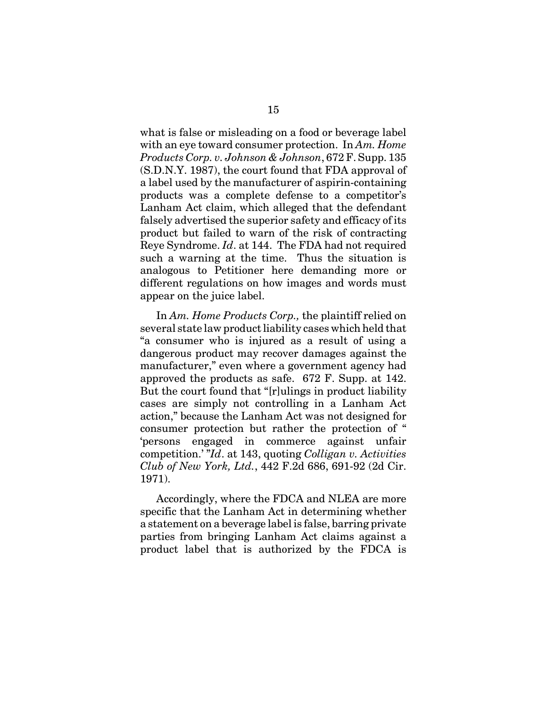what is false or misleading on a food or beverage label with an eye toward consumer protection. In *Am. Home Products Corp. v. Johnson & Johnson*, 672 F. Supp. 135 (S.D.N.Y. 1987), the court found that FDA approval of a label used by the manufacturer of aspirin-containing products was a complete defense to a competitor's Lanham Act claim, which alleged that the defendant falsely advertised the superior safety and efficacy of its product but failed to warn of the risk of contracting Reye Syndrome. *Id*. at 144. The FDA had not required such a warning at the time. Thus the situation is analogous to Petitioner here demanding more or different regulations on how images and words must appear on the juice label.

In *Am. Home Products Corp.,* the plaintiff relied on several state law product liability cases which held that "a consumer who is injured as a result of using a dangerous product may recover damages against the manufacturer," even where a government agency had approved the products as safe. 672 F. Supp. at 142. But the court found that "[r]ulings in product liability cases are simply not controlling in a Lanham Act action," because the Lanham Act was not designed for consumer protection but rather the protection of " 'persons engaged in commerce against unfair competition.' "*Id*. at 143, quoting *Colligan v. Activities Club of New York, Ltd.*, 442 F.2d 686, 691-92 (2d Cir. 1971).

Accordingly, where the FDCA and NLEA are more specific that the Lanham Act in determining whether a statement on a beverage label is false, barring private parties from bringing Lanham Act claims against a product label that is authorized by the FDCA is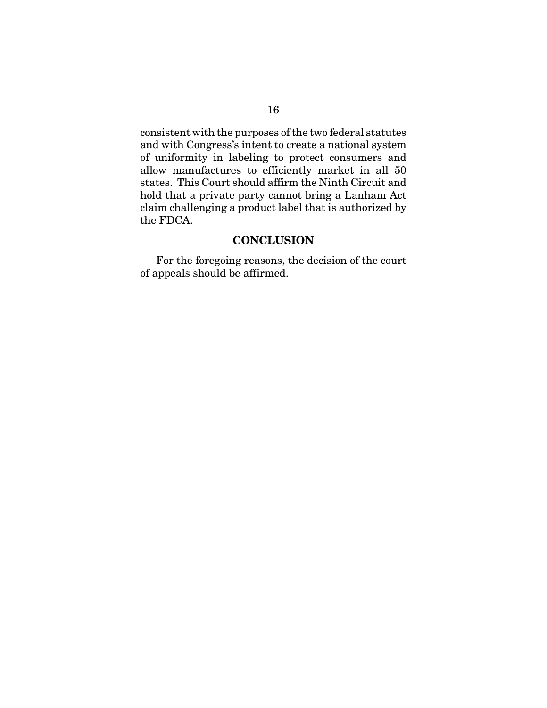consistent with the purposes of the two federal statutes and with Congress's intent to create a national system of uniformity in labeling to protect consumers and allow manufactures to efficiently market in all 50 states. This Court should affirm the Ninth Circuit and hold that a private party cannot bring a Lanham Act claim challenging a product label that is authorized by the FDCA.

### **CONCLUSION**

For the foregoing reasons, the decision of the court of appeals should be affirmed.